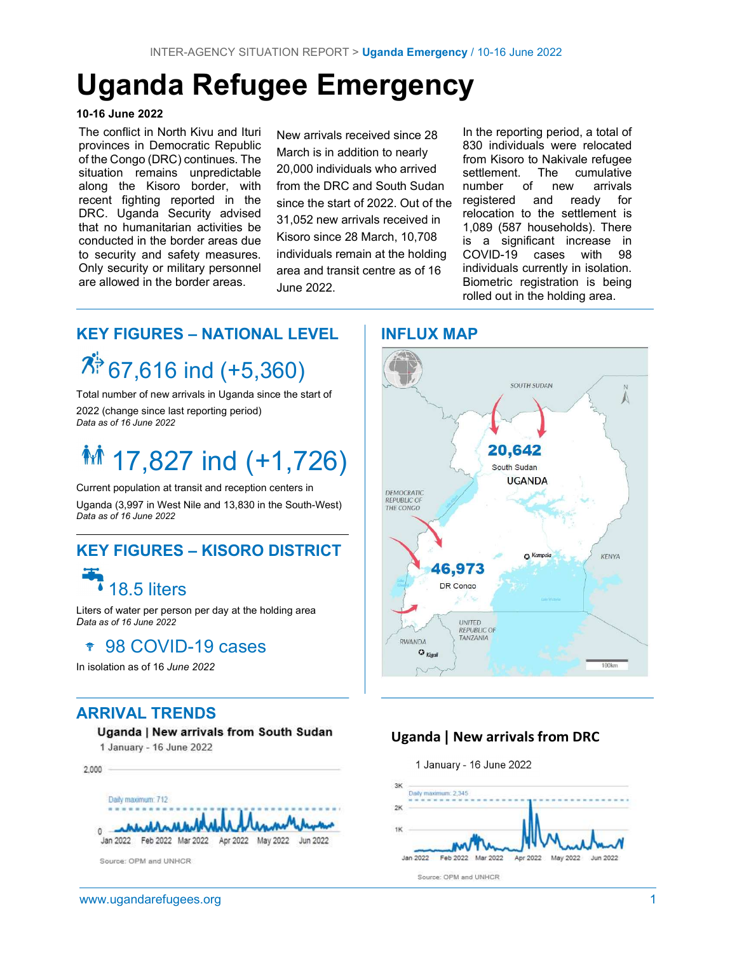# Uganda Refugee Emergency

#### 10-16 June 2022

The conflict in North Kivu and Ituri provinces in Democratic Republic of the Congo (DRC) continues. The situation remains unpredictable 20,000 individuals who arrived settlement. along the Kisoro border, with recent fighting reported in the DRC. Uganda Security advised that no humanitarian activities be conducted in the border areas due to security and safety measures. Only security or military personnel are allowed in the border areas.

New arrivals received since 28 March is in addition to nearly 20,000 individuals who arrived settlement. The from the DRC and South Sudan since the start of 2022. Out of the 31,052 new arrivals received in Kisoro since 28 March, 10,708 individuals remain at the holding area and transit centre as of 16 June 2022.

 In the reporting period, a total of 830 individuals were relocated from Kisoro to Nakivale refugee cumulative number of new arrivals registered and ready for relocation to the settlement is 1,089 (587 households). There is a significant increase in COVID-19 cases with 98 individuals currently in isolation. Biometric registration is being rolled out in the holding area.

# KEY FIGURES – NATIONAL LEVEL

 $\overrightarrow{A}$  67,616 ind (+5,360)

Total number of new arrivals in Uganda since the start of 2022 (change since last reporting period) Data as of 16 June 2022

# 17,827 ind (+1,726)

Current population at transit and reception centers in **Exerce ADE DEMOCRATIC** Uganda (3,997 in West Nile and 13,830 in the South-West) Data as of 16 June 2022

# KEY FIGURES – KISORO DISTRICT

# 18.5 liters

Liters of water per person per day at the holding area Data as of 16 June 2022

## 98 COVID-19 cases

In isolation as of 16 June 2022

# **ARRIVAL TRENDS**

#### Uganda | New arrivals from South Sudan

1 January - 16 June 2022





## Uganda | New arrivals from DRC

1 January - 16 June 2022

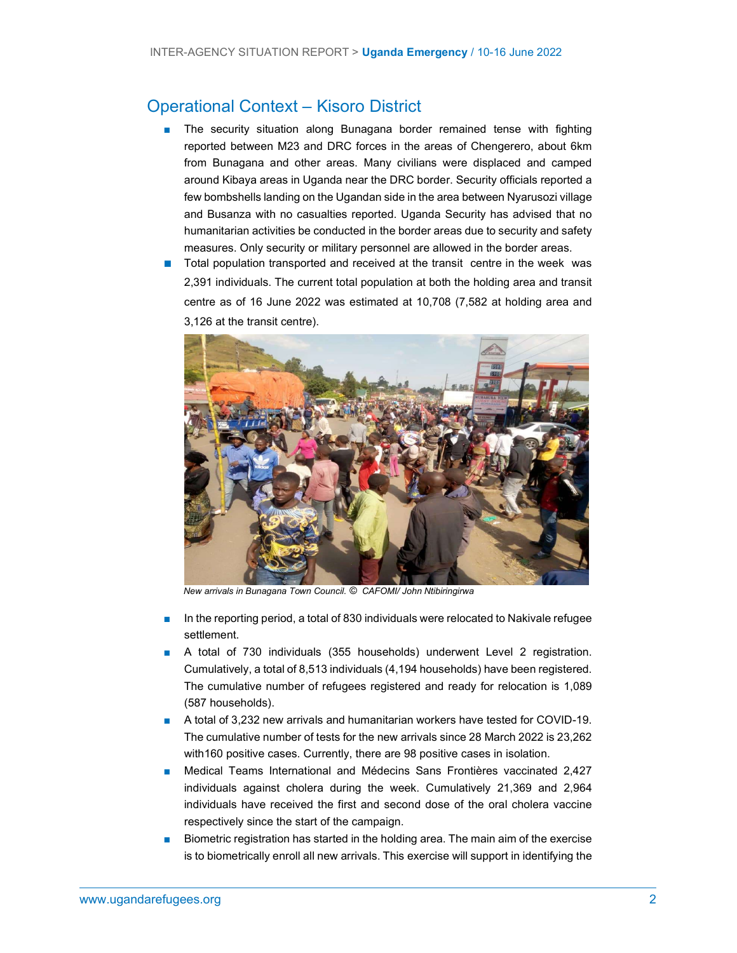### Operational Context – Kisoro District

- The security situation along Bunagana border remained tense with fighting reported between M23 and DRC forces in the areas of Chengerero, about 6km from Bunagana and other areas. Many civilians were displaced and camped around Kibaya areas in Uganda near the DRC border. Security officials reported a few bombshells landing on the Ugandan side in the area between Nyarusozi village and Busanza with no casualties reported. Uganda Security has advised that no humanitarian activities be conducted in the border areas due to security and safety measures. Only security or military personnel are allowed in the border areas.
- Total population transported and received at the transit centre in the week was 2,391 individuals. The current total population at both the holding area and transit centre as of 16 June 2022 was estimated at 10,708 (7,582 at holding area and 3,126 at the transit centre).



New arrivals in Bunagana Town Council. © CAFOMI/ John Ntibiringirwa

- In the reporting period, a total of 830 individuals were relocated to Nakivale refugee settlement.
- A total of 730 individuals (355 households) underwent Level 2 registration. Cumulatively, a total of 8,513 individuals (4,194 households) have been registered. The cumulative number of refugees registered and ready for relocation is 1,089 (587 households).
- A total of 3,232 new arrivals and humanitarian workers have tested for COVID-19. The cumulative number of tests for the new arrivals since 28 March 2022 is 23,262 with160 positive cases. Currently, there are 98 positive cases in isolation.
- Medical Teams International and Médecins Sans Frontières vaccinated 2,427 individuals against cholera during the week. Cumulatively 21,369 and 2,964 individuals have received the first and second dose of the oral cholera vaccine respectively since the start of the campaign.
- Biometric registration has started in the holding area. The main aim of the exercise is to biometrically enroll all new arrivals. This exercise will support in identifying the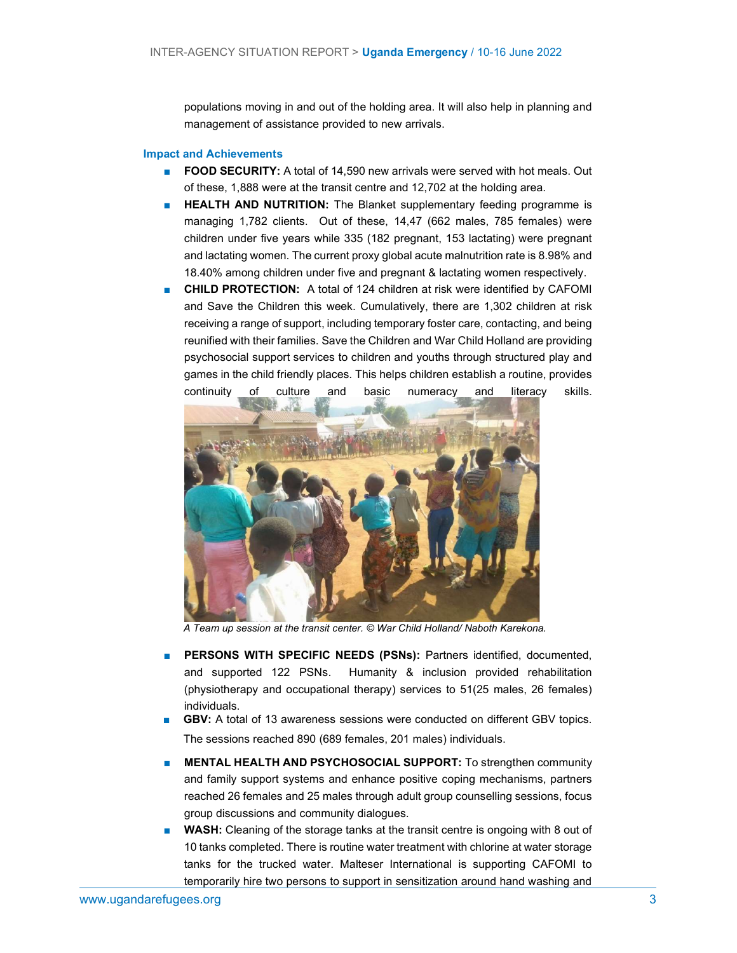populations moving in and out of the holding area. It will also help in planning and management of assistance provided to new arrivals.

#### Impact and Achievements

- FOOD SECURITY: A total of 14,590 new arrivals were served with hot meals. Out of these, 1,888 were at the transit centre and 12,702 at the holding area.
- **HEALTH AND NUTRITION:** The Blanket supplementary feeding programme is managing 1,782 clients. Out of these, 14,47 (662 males, 785 females) were children under five years while 335 (182 pregnant, 153 lactating) were pregnant and lactating women. The current proxy global acute malnutrition rate is 8.98% and 18.40% among children under five and pregnant & lactating women respectively.
- CHILD PROTECTION: A total of 124 children at risk were identified by CAFOMI and Save the Children this week. Cumulatively, there are 1,302 children at risk receiving a range of support, including temporary foster care, contacting, and being reunified with their families. Save the Children and War Child Holland are providing psychosocial support services to children and youths through structured play and games in the child friendly places. This helps children establish a routine, provides continuity of culture and basic numeracy and literacy skills.



A Team up session at the transit center. © War Child Holland/ Naboth Karekona.

- PERSONS WITH SPECIFIC NEEDS (PSNs): Partners identified, documented, and supported 122 PSNs. Humanity & inclusion provided rehabilitation (physiotherapy and occupational therapy) services to 51(25 males, 26 females) individuals.
- GBV: A total of 13 awareness sessions were conducted on different GBV topics. The sessions reached 890 (689 females, 201 males) individuals.
- MENTAL HEALTH AND PSYCHOSOCIAL SUPPORT: To strengthen community and family support systems and enhance positive coping mechanisms, partners reached 26 females and 25 males through adult group counselling sessions, focus group discussions and community dialogues.
- WASH: Cleaning of the storage tanks at the transit centre is ongoing with 8 out of 10 tanks completed. There is routine water treatment with chlorine at water storage tanks for the trucked water. Malteser International is supporting CAFOMI to temporarily hire two persons to support in sensitization around hand washing and